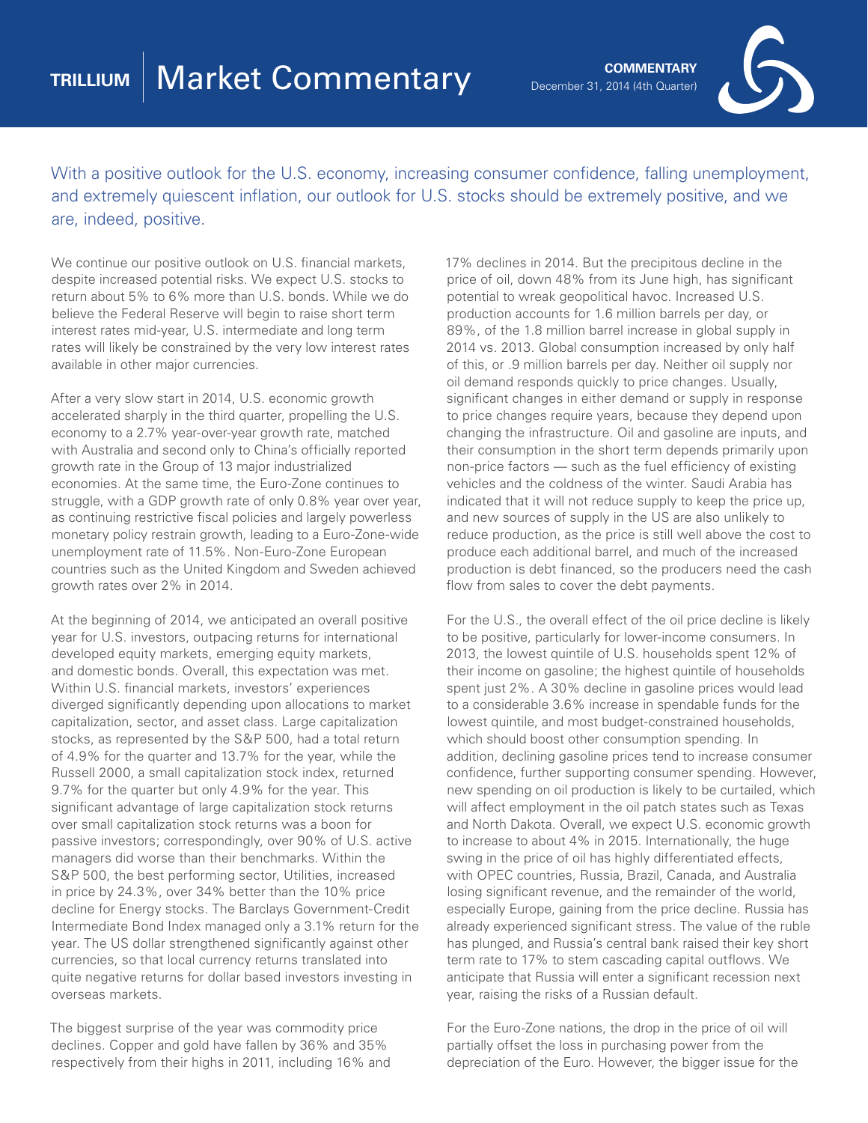

With a positive outlook for the U.S. economy, increasing consumer confidence, falling unemployment, and extremely quiescent inflation, our outlook for U.S. stocks should be extremely positive, and we are, indeed, positive.

We continue our positive outlook on U.S. financial markets, despite increased potential risks. We expect U.S. stocks to return about 5% to 6% more than U.S. bonds. While we do believe the Federal Reserve will begin to raise short term interest rates mid-year, U.S. intermediate and long term rates will likely be constrained by the very low interest rates available in other major currencies.

After a very slow start in 2014, U.S. economic growth accelerated sharply in the third quarter, propelling the U.S. economy to a 2.7% year-over-year growth rate, matched with Australia and second only to China's officially reported growth rate in the Group of 13 major industrialized economies. At the same time, the Euro-Zone continues to struggle, with a GDP growth rate of only 0.8% year over year, as continuing restrictive fiscal policies and largely powerless monetary policy restrain growth, leading to a Euro-Zone-wide unemployment rate of 11.5%. Non-Euro-Zone European countries such as the United Kingdom and Sweden achieved growth rates over 2% in 2014.

At the beginning of 2014, we anticipated an overall positive year for U.S. investors, outpacing returns for international developed equity markets, emerging equity markets, and domestic bonds. Overall, this expectation was met. Within U.S. financial markets, investors' experiences diverged significantly depending upon allocations to market capitalization, sector, and asset class. Large capitalization stocks, as represented by the S&P 500, had a total return of 4.9% for the quarter and 13.7% for the year, while the Russell 2000, a small capitalization stock index, returned 9.7% for the quarter but only 4.9% for the year. This significant advantage of large capitalization stock returns over small capitalization stock returns was a boon for passive investors; correspondingly, over 90% of U.S. active managers did worse than their benchmarks. Within the S&P 500, the best performing sector, Utilities, increased in price by 24.3%, over 34% better than the 10% price decline for Energy stocks. The Barclays Government-Credit Intermediate Bond Index managed only a 3.1% return for the year. The US dollar strengthened significantly against other currencies, so that local currency returns translated into quite negative returns for dollar based investors investing in overseas markets.

The biggest surprise of the year was commodity price declines. Copper and gold have fallen by 36% and 35% respectively from their highs in 2011, including 16% and 17% declines in 2014. But the precipitous decline in the price of oil, down 48% from its June high, has significant potential to wreak geopolitical havoc. Increased U.S. production accounts for 1.6 million barrels per day, or 89%, of the 1.8 million barrel increase in global supply in 2014 vs. 2013. Global consumption increased by only half of this, or .9 million barrels per day. Neither oil supply nor oil demand responds quickly to price changes. Usually, significant changes in either demand or supply in response to price changes require years, because they depend upon changing the infrastructure. Oil and gasoline are inputs, and their consumption in the short term depends primarily upon non-price factors — such as the fuel efficiency of existing vehicles and the coldness of the winter. Saudi Arabia has indicated that it will not reduce supply to keep the price up, and new sources of supply in the US are also unlikely to reduce production, as the price is still well above the cost to produce each additional barrel, and much of the increased production is debt financed, so the producers need the cash flow from sales to cover the debt payments.

For the U.S., the overall effect of the oil price decline is likely to be positive, particularly for lower-income consumers. In 2013, the lowest quintile of U.S. households spent 12% of their income on gasoline; the highest quintile of households spent just 2%. A 30% decline in gasoline prices would lead to a considerable 3.6% increase in spendable funds for the lowest quintile, and most budget-constrained households, which should boost other consumption spending. In addition, declining gasoline prices tend to increase consumer confidence, further supporting consumer spending. However, new spending on oil production is likely to be curtailed, which will affect employment in the oil patch states such as Texas and North Dakota. Overall, we expect U.S. economic growth to increase to about 4% in 2015. Internationally, the huge swing in the price of oil has highly differentiated effects, with OPEC countries, Russia, Brazil, Canada, and Australia losing significant revenue, and the remainder of the world, especially Europe, gaining from the price decline. Russia has already experienced significant stress. The value of the ruble has plunged, and Russia's central bank raised their key short term rate to 17% to stem cascading capital outflows. We anticipate that Russia will enter a significant recession next year, raising the risks of a Russian default.

For the Euro-Zone nations, the drop in the price of oil will partially offset the loss in purchasing power from the depreciation of the Euro. However, the bigger issue for the